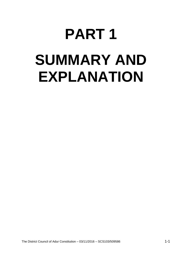# **PART 1 SUMMARY AND EXPLANATION**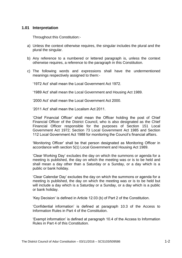## **1.01 Interpretation**

Throughout this Constitution:-

- a) Unless the context otherwise requires, the singular includes the plural and the plural the singular.
- b) Any reference to a numbered or lettered paragraph is, unless the context otherwise requires, a reference to the paragraph in this Constitution.
- c) The following words and expressions shall have the undermentioned meanings respectively assigned to them:-

'1972 Act' shall mean the Local Government Act 1972.

'1989 Act' shall mean the Local Government and Housing Act 1989.

'2000 Act' shall mean the Local Government Act 2000.

'2011 Act' shall mean the Localism Act 2011.

'Chief Financial Officer' shall mean the Officer holding the post of Chief Financial Officer of the District Council, who is also designated as the Chief Financial Officer responsible for the purposes of Section 151 Local Government Act 1972; Section 73 Local Government Act 1985 and Section 112 Local Government Act 1988 for monitoring the Council's financial affairs.

'Monitoring Officer' shall be that person designated as Monitoring Officer in accordance with section 5(1) Local Government and Housing Act 1989.

'Clear Working Day' excludes the day on which the summons or agenda for a meeting is published, the day on which the meeting was or is to be held and shall mean a day other than a Saturday or a Sunday, or a day which is a public or bank holiday.

'Clear Calendar Day' excludes the day on which the summons or agenda for a meeting is published, the day on which the meeting was or is to be held but will include a day which is a Saturday or a Sunday, or a day which is a public or bank holiday.

'Key Decision' is defined in Article 12.03 (b) of Part 2 of the Constitution.

'Confidential information' is defined at paragraph 10.3 of the Access to Information Rules in Part 4 of the Constitution.

'Exempt information' is defined at paragraph 10.4 of the Access to Information Rules in Part 4 of this Constitution.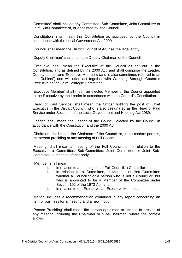'Committee' shall include any Committee, Sub-Committee, Joint Committee or Joint Sub-Committee of, or appointed by, the Council.

'Constitution' shall mean this Constitution as approved by the Council in accordance with the Local Government Act 2000.

'Council' shall mean the District Council of Adur as the legal entity.

'Deputy Chairman' shall mean the Deputy Chairman of the Council.

'Executive' shall mean the Executive of the Council as set out in the Constitution, and as defined by the 2000 Act, and shall comprise the Leader, Deputy Leader and Executive Members (and is also sometimes referred to as 'the Cabinet') and will often act together with Worthing Borough Council's Executive as the Joint Strategic Committee.

'Executive Member' shall mean an elected Member of the Council appointed to the Executive by the Leader in accordance with the Council's Constitution.

'Head of Paid Service' shall mean the Officer holding the post of Chief Executive in the District Council, who is also designated as the Head of Paid Service under Section 4 of the Local Government and Housing Act 1989.

'Leader' shall mean the Leader of the Council, elected by the Council in accordance with the Constitution and the 2000 Act.

'Chairman' shall mean the Chairman of the Council or, if the context permits, the person presiding at any meeting of Full Council.

'Meeting' shall mean a meeting of the Full Council, or in relation to the Executive, a Committee, Sub-Committee, Joint Committee or Joint Sub-Committee, a meeting of that body.

''Member' shall mean:

- i. in relation to a meeting of the Full Council, a Councillor;
- ii. in relation to a Committee, a Member of that Committee whether a Councillor or a person who is not a Councillor, but who is appointed to be a Member of the Committee under Section 102 of the 1972 Act; and
- iii. in relation to the Executive, an Executive Member.

'Motion' includes a recommendation contained in any report concerning an item of business for a meeting and a new motion.

'Person Presiding' shall mean the person appointed or entitled to preside at any meeting including the Chairman or Vice-Chairman, where the context allows.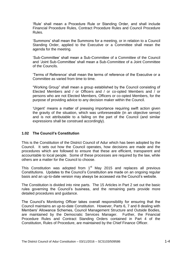'Rule' shall mean a Procedure Rule or Standing Order, and shall include Financial Procedure Rules, Contract Procedure Rules and Council Procedure Rules.

'Summons' shall mean the Summons for a meeting, or in relation to a Council Standing Order, applied to the Executive or a Committee shall mean the agenda for the meeting.

'Sub-Committee' shall mean a Sub-Committee of a Committee of the Council and 'Joint Sub-Committee' shall mean a Sub-Committee of a Joint Committee of the Councils.

'Terms of Reference' shall mean the terms of reference of the Executive or a Committee as varied from time to time.

"Working Group" shall mean a group established by the Council consisting of Elected Members and / or Officers and / or co-opted Members and / or persons who are not Elected Members, Officers or co-opted Members, for the purpose of providing advice to any decision maker within the Council.

'Urgent' means a matter of pressing importance requiring swift action given the gravity of the situation, which was unforeseeable (in an objective sense) and is not attributable to a failing on the part of the Council (and similar expressions shall be construed accordingly).

#### **1.02 The Council's Constitution**

This is the Constitution of the District Council of Adur which has been adopted by the Council. It sets out how the Council operates, how decisions are made and the procedures which are followed to ensure that these are efficient, transparent and accountable to local people. Some of these processes are required by the law, while others are a matter for the Council to choose.

This Constitution was adopted from  $1<sup>st</sup>$  May 2015 and replaces all previous Constitutions. Updates to the Council's Constitution are made on an ongoing regular basis and an up-to-date version may always be accessed via the Council's website.

The Constitution is divided into nine parts. The 15 Articles in Part 2 set out the basic rules governing the Council's business, and the remaining parts provide more detailed procedures and guidance.

The Council's Monitoring Officer takes overall responsibility for ensuring that the Council maintains an up-to-date Constitution. However, Parts 6, 7 and 8 dealing with Members' Allowance Schemes, Council Management Structure and Outside Bodies, are maintained by the Democratic Services Manager. Further, the Financial Procedure Rules and Contract Standing Orders contained in Part 4 of the Constitution, Rules of Procedure, are maintained by the Chief Finance Officer.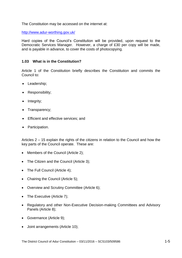The Constitution may be accessed on the internet at:

<http://www.adur-worthing.gov.uk/>

Hard copies of the Council's Constitution will be provided, upon request to the Democratic Services Manager. However, a charge of £30 per copy will be made, and is payable in advance, to cover the costs of photocopying.

# **1.03 What is in the Constitution?**

Article 1 of the Constitution briefly describes the Constitution and commits the Council to:

- Leadership;
- Responsibility;
- Integrity;
- Transparency:
- **Efficient and effective services; and**
- Participation.

Articles  $2 - 15$  explain the rights of the citizens in relation to the Council and how the key parts of the Council operate. These are:

- Members of the Council (Article 2);
- The Citizen and the Council (Article 3);
- The Full Council (Article 4);
- Chairing the Council (Article 5);
- Overview and Scrutiny Committee (Article 6);
- The Executive (Article 7):
- Regulatory and other Non-Executive Decision-making Committees and Advisory Panels (Article 8);
- Governance (Article 9);
- Joint arrangements (Article 10);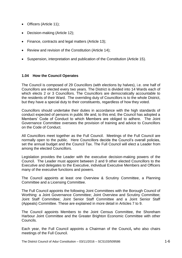- Officers (Article 11);
- Decision-making (Article 12);
- Finance, contracts and legal matters (Article 13);
- Review and revision of the Constitution (Article 14);
- Suspension, interpretation and publication of the Constitution (Article 15).

# **1.04 How the Council Operates**

The Council is composed of 29 Councillors (with elections by halves), i.e. one half of Councillors are elected every two years. The District is divided into 14 Wards each of which elects 2 or 3 Councillors. The Councillors are democratically accountable to the residents of their Ward. The overriding duty of Councillors is to the whole District, but they have a special duty to their constituents, regardless of how they voted.

Councillors should undertake their duties in accordance with the high standards of conduct expected of persons in public life and, to this end, the Council has adopted a Members' Code of Conduct to which Members are obliged to adhere. The Joint Governance Committee oversees the provision of training and advice to Councillors on the Code of Conduct.

All Councillors meet together as the Full Council. Meetings of the Full Council are normally open to the public. Here Councillors decide the Council's overall policies, set the annual budget and the Council Tax. The Full Council will elect a Leader from among the elected Councillors.

Legislation provides the Leader with the executive decision-making powers of the Council. The Leader must appoint between 2 and 9 other elected Councillors to the Executive and delegates to the Executive, individual Executive Members and Officers many of the executive functions and powers.

The Council appoints at least one Overview & Scrutiny Committee, a Planning Committee and a Licensing Committee.

The Full Council appoints the following Joint Committees with the Borough Council of Worthing: a Joint Governance Committee; Joint Overview and Scrutiny Committee; Joint Staff Committee; Joint Senior Staff Committee and a Joint Senior Staff (Appeals) Committee. These are explained in more detail in Articles 7 to 9.

The Council appoints Members to the Joint Census Committee, the Shoreham Harbour Joint Committee and the Greater Brighton Economic Committee with other Councils.

Each year, the Full Council appoints a Chairman of the Council**,** who also chairs meetings of the Full Council.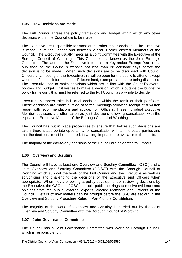# **1.05 How Decisions are made**

The Full Council agrees the policy framework and budget within which any other decisions within the Council are to be made.

The Executive are responsible for most of the other major decisions. The Executive is made up of the Leader and between 2 and 9 other elected Members of the Council. The Executive usually meets as a Joint Committee with the Executive of the Borough Council of Worthing. This Committee is known as the Joint Strategic Committee. The fact that the Executive is to make a Key and/or Exempt Decision is published on the Council's website not less than 28 calendar days before the decision is to be made. When such decisions are to be discussed with Council Officers at a meeting of the Executive this will be open for the public to attend, except where confidential information or, if determined, exempt matters are being discussed. The Executive has to make decisions which are in line with the Council's overall policies and budget. If it wishes to make a decision which is outside the budget or policy framework, this must be referred to the Full Council as a whole to decide.

Executive Members take individual decisions, within the remit of their portfolios. These decisions are made outside of formal meetings following receipt of a written report, with recommendations and advice, from Officers. These individual Executive Member decisions are often taken as joint decisions following consultation with the equivalent Executive Member of the Borough Council of Worthing.

The Council has put in place procedures to ensure that before such decisions are taken, there is appropriate opportunity for consultation with all interested parties and that the decisions must be recorded, in writing, kept and are available to the public.

The majority of the day-to-day decisions of the Council are delegated to Officers.

#### **1.06 Overview and Scrutiny**

The Council will have at least one Overview and Scrutiny Committee ('OSC') and a Joint Overview and Scrutiny Committee ("JOSC") with the Borough Council of Worthing which support the work of the Full Council and the Executive as well as scrutinising and challenging the decisions of the Executive and Officers when appropriate. When they are looking at policy development or reviewing decisions by the Executive, the OSC and JOSC can hold public hearings to receive evidence and opinions from the public, external experts, elected Members and Officers of the Council. Details of how matters can be brought before the OSC are set out in the Overview and Scrutiny Procedure Rules in Part 4 of the Constitution.

The majority of the work of Overview and Scrutiny is carried out by the Joint Overview and Scrutiny Committee with the Borough Council of Worthing.

#### **1.07 Joint Governance Committee**

The Council has a Joint Governance Committee with Worthing Borough Council, which is responsible for: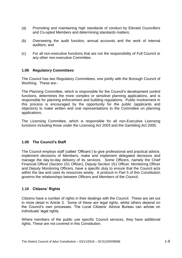- (a) Promoting and maintaining high standards of conduct by Elected Councillors and Co-opted Members and determining standards matters;
- (b) Overseeing the audit function, annual accounts and the work of internal auditors; and
- (c) For all non-executive functions that are not the responsibility of Full Council or any other non-executive Committee.

#### **1.08 Regulatory Committees**

The Council has two Regulatory Committees, one jointly with the Borough Council of Worthing. These are:-

The Planning Committee, which is responsible for the Council's development control functions, determines the more complex or sensitive planning applications, and is responsible for planning enforcement and building regulations. Public involvement in this process is encouraged by the opportunity for the public (applicants and objectors) to make written and oral representations to the Committee on planning applications.

The Licensing Committee, which is responsible for all non-Executive Licensing functions including those under the Licensing Act 2003 and the Gambling Act 2005.

#### **1.09 The Council's Staff**

The Council employs staff (called 'Officers') to give professional and practical advice, implement decisions of Members, make and implement delegated decisions and manage the day-to-day delivery of its services. Some Officers, namely the Chief Financial Officer (Section 151 Officer), Deputy Section 151 Officer, Monitoring Officer and Deputy Monitoring Officers, have a specific duty to ensure that the Council acts within the law and uses its resources wisely. A protocol in Part 5 of this Constitution governs the relationships between Officers and Members of the Council.

#### **1.10 Citizens' Rights**

Citizens have a number of rights in their dealings with the Council. These are set out in more detail in Article 3. Some of these are legal rights, whilst others depend on the Council's own processes. The Local Citizens' Advice Bureau can advise on individuals' legal rights.

Where members of the public use specific Council services, they have additional rights. These are not covered in this Constitution.